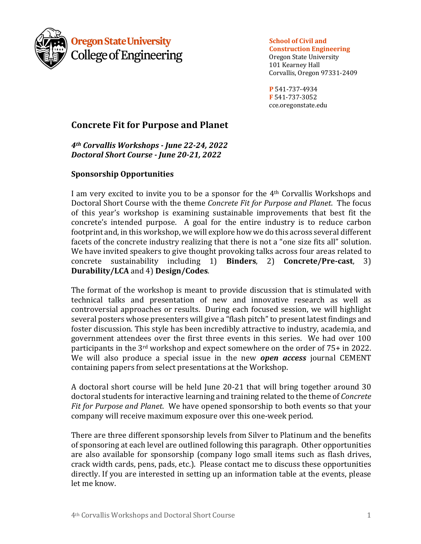

**Oregon State University College of Engineering**  **School** of Civil and

**Construction Engineering** Oregon State University 101 Kearney Hall Corvallis, Oregon 97331-2409

**P** 541-737-4934 **F** 541-737-3052 cce.oregonstate.edu

# **Concrete Fit for Purpose and Planet**

*4th Corvallis Workshops - June 22-24, 2022 Doctoral Short Course - June 20-21, 2022*

## **Sponsorship Opportunities**

I am very excited to invite you to be a sponsor for the  $4<sup>th</sup>$  Corvallis Workshops and Doctoral Short Course with the theme *Concrete Fit for Purpose and Planet*. The focus of this year's workshop is examining sustainable improvements that best fit the concrete's intended purpose. A goal for the entire industry is to reduce carbon footprint and, in this workshop, we will explore how we do this across several different facets of the concrete industry realizing that there is not a "one size fits all" solution. We have invited speakers to give thought provoking talks across four areas related to concrete sustainability including 1) **Binders**, 2) **Concrete/Pre-cast**, 3) **Durability/LCA** and 4) **Design/Codes**. 

The format of the workshop is meant to provide discussion that is stimulated with technical talks and presentation of new and innovative research as well as controversial approaches or results. During each focused session, we will highlight several posters whose presenters will give a "flash pitch" to present latest findings and foster discussion. This style has been incredibly attractive to industry, academia, and government attendees over the first three events in this series. We had over 100 participants in the  $3<sup>rd</sup>$  workshop and expect somewhere on the order of  $75+$  in 2022. We will also produce a special issue in the new *open access* journal CEMENT containing papers from select presentations at the Workshop.

A doctoral short course will be held June  $20-21$  that will bring together around  $30$ doctoral students for interactive learning and training related to the theme of *Concrete* Fit for Purpose and Planet. We have opened sponsorship to both events so that your company will receive maximum exposure over this one-week period.

There are three different sponsorship levels from Silver to Platinum and the benefits of sponsoring at each level are outlined following this paragraph. Other opportunities are also available for sponsorship (company logo small items such as flash drives, crack width cards, pens, pads, etc.). Please contact me to discuss these opportunities directly. If you are interested in setting up an information table at the events, please let me know.